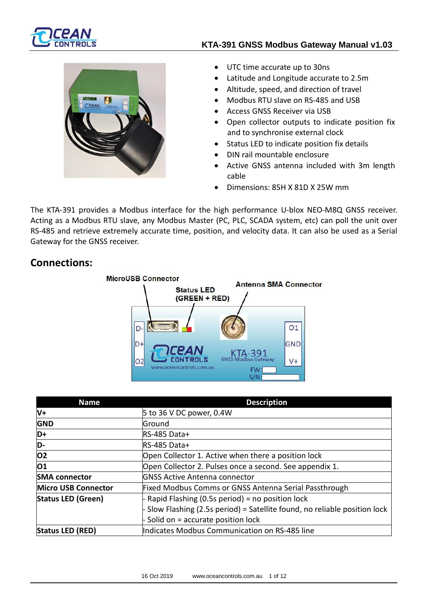

### **KTA-391 GNSS Modbus Gateway Manual v1.03**



• UTC time accurate up to 30ns

- Latitude and Longitude accurate to 2.5m
- Altitude, speed, and direction of travel
- Modbus RTU slave on RS-485 and USB
- Access GNSS Receiver via USB
- Open collector outputs to indicate position fix and to synchronise external clock
- Status LED to indicate position fix details
- DIN rail mountable enclosure
- Active GNSS antenna included with 3m length cable
- Dimensions: 85H X 81D X 25W mm

The KTA-391 provides a Modbus interface for the high performance U-blox NEO-M8Q GNSS receiver. Acting as a Modbus RTU slave, any Modbus Master (PC, PLC, SCADA system, etc) can poll the unit over RS-485 and retrieve extremely accurate time, position, and velocity data. It can also be used as a Serial Gateway for the GNSS receiver.

### **Connections:**



| <b>Name</b>                | <b>Description</b>                                                         |
|----------------------------|----------------------------------------------------------------------------|
| V+                         | 5 to 36 V DC power, 0.4W                                                   |
| <b>GND</b>                 | Ground                                                                     |
| D+                         | RS-485 Data+                                                               |
| D-                         | RS-485 Data+                                                               |
| <b>O2</b>                  | Open Collector 1. Active when there a position lock                        |
| O1                         | Open Collector 2. Pulses once a second. See appendix 1.                    |
| <b>SMA connector</b>       | <b>GNSS Active Antenna connector</b>                                       |
| <b>Micro USB Connector</b> | Fixed Modbus Comms or GNSS Antenna Serial Passthrough                      |
| <b>Status LED (Green)</b>  | - Rapid Flashing (0.5s period) = no position lock                          |
|                            | - Slow Flashing (2.5s period) = Satellite found, no reliable position lock |
|                            | - Solid on = accurate position lock                                        |
| <b>Status LED (RED)</b>    | Indicates Modbus Communication on RS-485 line                              |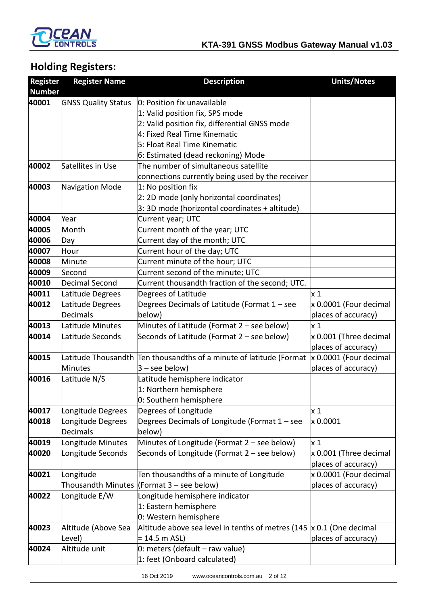

# **Holding Registers:**

| <b>Register</b> | <b>Register Name</b>       | <b>Description</b>                                                  | <b>Units/Notes</b>     |
|-----------------|----------------------------|---------------------------------------------------------------------|------------------------|
| <b>Number</b>   |                            |                                                                     |                        |
| 40001           | <b>GNSS Quality Status</b> | 0: Position fix unavailable                                         |                        |
|                 |                            | 1: Valid position fix, SPS mode                                     |                        |
|                 |                            | 2: Valid position fix, differential GNSS mode                       |                        |
|                 |                            | 4: Fixed Real Time Kinematic                                        |                        |
|                 |                            | 5: Float Real Time Kinematic                                        |                        |
|                 |                            | 6: Estimated (dead reckoning) Mode                                  |                        |
| 40002           | Satellites in Use          | The number of simultaneous satellite                                |                        |
|                 |                            | connections currently being used by the receiver                    |                        |
| 40003           | Navigation Mode            | 1: No position fix                                                  |                        |
|                 |                            | 2: 2D mode (only horizontal coordinates)                            |                        |
|                 |                            | 3: 3D mode (horizontal coordinates + altitude)                      |                        |
| 40004           | Year                       | Current year; UTC                                                   |                        |
| 40005           | Month                      | Current month of the year; UTC                                      |                        |
| 40006           | Day                        | Current day of the month; UTC                                       |                        |
| 40007           | Hour                       | Current hour of the day; UTC                                        |                        |
| 40008           | Minute                     | Current minute of the hour; UTC                                     |                        |
| 40009           | Second                     | Current second of the minute; UTC                                   |                        |
| 40010           | Decimal Second             | Current thousandth fraction of the second; UTC.                     |                        |
| 40011           | Latitude Degrees           | Degrees of Latitude                                                 | x <sub>1</sub>         |
| 40012           | Latitude Degrees           | Degrees Decimals of Latitude (Format 1 - see                        | x 0.0001 (Four decimal |
|                 | Decimals                   | below)                                                              | places of accuracy)    |
| 40013           | Latitude Minutes           | Minutes of Latitude (Format 2 - see below)                          | $\times 1$             |
| 40014           | Latitude Seconds           | Seconds of Latitude (Format 2 - see below)                          | x 0.001 (Three decimal |
|                 |                            |                                                                     | places of accuracy)    |
| 40015           |                            | Latitude Thousandth Ten thousandths of a minute of latitude (Format | x 0.0001 (Four decimal |
|                 | <b>Minutes</b>             | $3 -$ see below)                                                    | places of accuracy)    |
| 40016           | Latitude N/S               | Latitude hemisphere indicator                                       |                        |
|                 |                            | 1: Northern hemisphere                                              |                        |
|                 |                            | 0: Southern hemisphere                                              |                        |
| 40017           | Longitude Degrees          | Degrees of Longitude                                                | x <sub>1</sub>         |
| 40018           | Longitude Degrees          | Degrees Decimals of Longitude (Format 1 - see                       | x 0.0001               |
|                 | Decimals                   | below)                                                              |                        |
| 40019           | Longitude Minutes          | Minutes of Longitude (Format 2 - see below)                         | x <sub>1</sub>         |
| 40020           | Longitude Seconds          | Seconds of Longitude (Format 2 - see below)                         | x 0.001 (Three decimal |
|                 |                            |                                                                     | places of accuracy)    |
| 40021           | Longitude                  | Ten thousandths of a minute of Longitude                            | x 0.0001 (Four decimal |
|                 |                            | Thousandth Minutes (Format 3 – see below)                           | places of accuracy)    |
| 40022           | Longitude E/W              | Longitude hemisphere indicator                                      |                        |
|                 |                            | 1: Eastern hemisphere                                               |                        |
|                 |                            | 0: Western hemisphere                                               |                        |
| 40023           | Altitude (Above Sea        | Altitude above sea level in tenths of metres (145                   | x 0.1 (One decimal     |
|                 | Level)                     | = 14.5 m ASL)                                                       | places of accuracy)    |
| 40024           | Altitude unit              | $0:$ meters (default – raw value)                                   |                        |
|                 |                            | 1: feet (Onboard calculated)                                        |                        |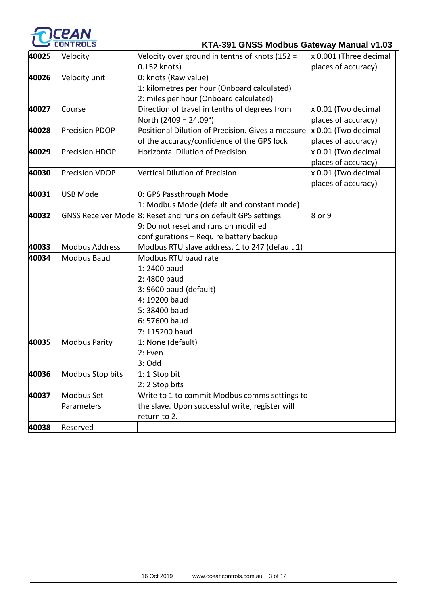

# **KTA-391 GNSS Modbus Gateway Manual v1.03**

| 40025 | Velocity              | Velocity over ground in tenths of knots (152 =               | x 0.001 (Three decimal |
|-------|-----------------------|--------------------------------------------------------------|------------------------|
|       |                       | 0.152 knots)                                                 | places of accuracy)    |
| 40026 | Velocity unit         | 0: knots (Raw value)                                         |                        |
|       |                       | 1: kilometres per hour (Onboard calculated)                  |                        |
|       |                       | 2: miles per hour (Onboard calculated)                       |                        |
| 40027 | Course                | Direction of travel in tenths of degrees from                | x 0.01 (Two decimal    |
|       |                       | North (2409 = 24.09°)                                        | places of accuracy)    |
| 40028 | <b>Precision PDOP</b> | Positional Dilution of Precision. Gives a measure            | x 0.01 (Two decimal    |
|       |                       | of the accuracy/confidence of the GPS lock                   | places of accuracy)    |
| 40029 | <b>Precision HDOP</b> | <b>Horizontal Dilution of Precision</b>                      | x 0.01 (Two decimal    |
|       |                       |                                                              | places of accuracy)    |
| 40030 | <b>Precision VDOP</b> | Vertical Dilution of Precision                               | x 0.01 (Two decimal    |
|       |                       |                                                              | places of accuracy)    |
| 40031 | USB Mode              | 0: GPS Passthrough Mode                                      |                        |
|       |                       | 1: Modbus Mode (default and constant mode)                   |                        |
| 40032 |                       | GNSS Receiver Mode 8: Reset and runs on default GPS settings | 8 or 9                 |
|       |                       | 9: Do not reset and runs on modified                         |                        |
|       |                       | configurations - Require battery backup                      |                        |
| 40033 | <b>Modbus Address</b> | Modbus RTU slave address. 1 to 247 (default 1)               |                        |
| 40034 | <b>Modbus Baud</b>    | Modbus RTU baud rate                                         |                        |
|       |                       | 1: 2400 baud                                                 |                        |
|       |                       | 2: 4800 baud                                                 |                        |
|       |                       | $3:9600$ baud (default)                                      |                        |
|       |                       | 4: 19200 baud                                                |                        |
|       |                       | 5: 38400 baud                                                |                        |
|       |                       | 6: 57600 baud                                                |                        |
|       |                       | 7: 115200 baud                                               |                        |
| 40035 | <b>Modbus Parity</b>  | 1: None (default)                                            |                        |
|       |                       | 2: Even                                                      |                        |
|       |                       | $3:$ Odd                                                     |                        |
| 40036 | Modbus Stop bits      | 1: 1 Stop bit                                                |                        |
|       |                       | 2: 2 Stop bits                                               |                        |
| 40037 | Modbus Set            | Write to 1 to commit Modbus comms settings to                |                        |
|       | Parameters            | the slave. Upon successful write, register will              |                        |
|       |                       | return to 2.                                                 |                        |
| 40038 | Reserved              |                                                              |                        |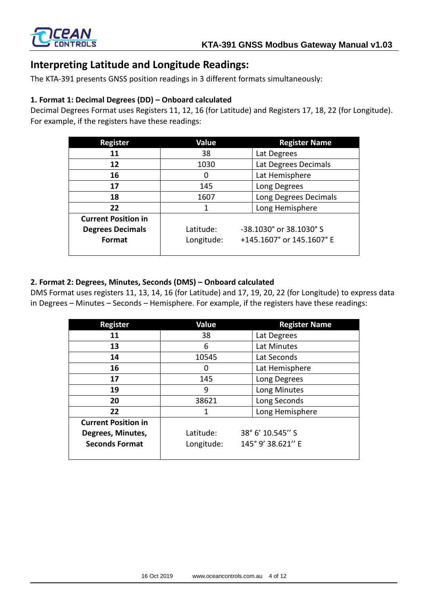

## **Interpreting Latitude and Longitude Readings:**

The KTA-391 presents GNSS position readings in 3 different formats simultaneously:

### **1. Format 1: Decimal Degrees (DD) – Onboard calculated**

Decimal Degrees Format uses Registers 11, 12, 16 (for Latitude) and Registers 17, 18, 22 (for Longitude). For example, if the registers have these readings:

| <b>Register</b>            | Value      | <b>Register Name</b>            |  |
|----------------------------|------------|---------------------------------|--|
| 11                         | 38         | Lat Degrees                     |  |
| 12                         | 1030       | Lat Degrees Decimals            |  |
| 16                         | O          | Lat Hemisphere                  |  |
| 17                         | 145        | Long Degrees                    |  |
| 18                         | 1607       | Long Degrees Decimals           |  |
| 22                         |            | Long Hemisphere                 |  |
| <b>Current Position in</b> |            |                                 |  |
| <b>Degrees Decimals</b>    | Latitude:  | -38.1030° or 38.1030° S         |  |
| Format                     | Longitude: | $+145.1607$ ° or $145.1607$ ° E |  |
|                            |            |                                 |  |

### **2. Format 2: Degrees, Minutes, Seconds (DMS) – Onboard calculated**

DMS Format uses registers 11, 13, 14, 16 (for Latitude) and 17, 19, 20, 22 (for Longitude) to express data in Degrees – Minutes – Seconds – Hemisphere. For example, if the registers have these readings:

| <b>Register</b>            | Value      | <b>Register Name</b> |
|----------------------------|------------|----------------------|
| 11                         | 38         | Lat Degrees          |
| 13                         | 6          | Lat Minutes          |
| 14                         | 10545      | Lat Seconds          |
| 16                         | n          | Lat Hemisphere       |
| 17                         | 145        | Long Degrees         |
| 19                         | 9          | Long Minutes         |
| 20                         | 38621      | Long Seconds         |
| 22                         | 1          | Long Hemisphere      |
| <b>Current Position in</b> |            |                      |
| Degrees, Minutes,          | Latitude:  | 38° 6' 10.545" S     |
| <b>Seconds Format</b>      | Longitude: | 145° 9' 38.621" E    |
|                            |            |                      |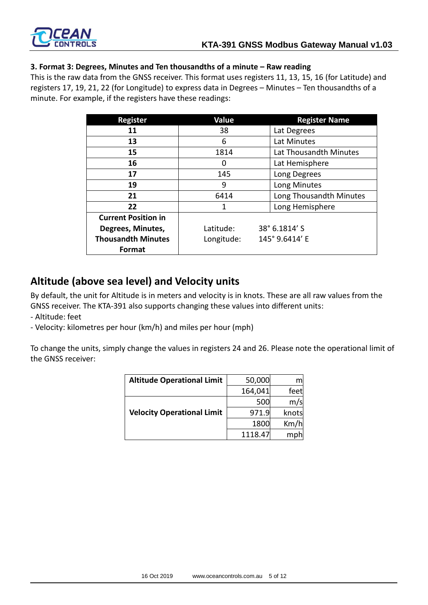

#### **3. Format 3: Degrees, Minutes and Ten thousandths of a minute – Raw reading**

This is the raw data from the GNSS receiver. This format uses registers 11, 13, 15, 16 (for Latitude) and registers 17, 19, 21, 22 (for Longitude) to express data in Degrees – Minutes – Ten thousandths of a minute. For example, if the registers have these readings:

| <b>Register</b>            | Value      | <b>Register Name</b>    |
|----------------------------|------------|-------------------------|
| 11                         | 38         | Lat Degrees             |
| 13                         | 6          | Lat Minutes             |
| 15                         | 1814       | Lat Thousandth Minutes  |
| 16                         | 0          | Lat Hemisphere          |
| 17                         | 145        | Long Degrees            |
| 19                         | 9          | Long Minutes            |
| 21                         | 6414       | Long Thousandth Minutes |
| 22                         | 1          | Long Hemisphere         |
| <b>Current Position in</b> |            |                         |
| Degrees, Minutes,          | Latitude:  | 38° 6.1814' S           |
| <b>Thousandth Minutes</b>  | Longitude: | 145° 9.6414' E          |
| Format                     |            |                         |

## **Altitude (above sea level) and Velocity units**

By default, the unit for Altitude is in meters and velocity is in knots. These are all raw values from the GNSS receiver. The KTA-391 also supports changing these values into different units:

- Altitude: feet
- Velocity: kilometres per hour (km/h) and miles per hour (mph)

To change the units, simply change the values in registers 24 and 26. Please note the operational limit of the GNSS receiver:

| <b>Altitude Operational Limit</b> | 50,000  | m     |
|-----------------------------------|---------|-------|
|                                   | 164,041 | feet  |
|                                   | 500     | m/s   |
| <b>Velocity Operational Limit</b> | 971.9   | knots |
|                                   | 1800    | Km/h  |
|                                   | 1118.47 | mph   |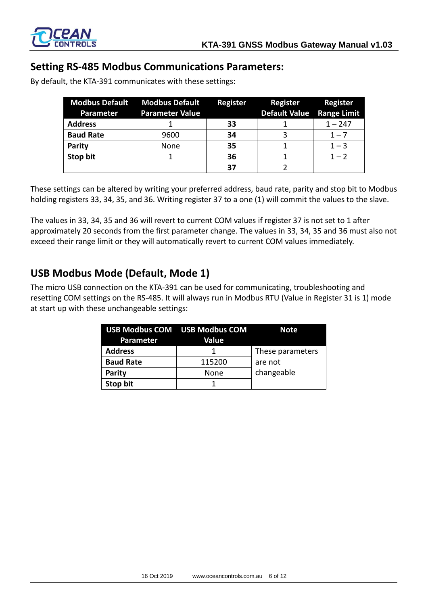

## **Setting RS-485 Modbus Communications Parameters:**

By default, the KTA-391 communicates with these settings:

| <b>Parameter</b> | <b>Modbus Default Modbus Default</b><br><b>Parameter Value</b> | Register | <b>Register</b><br>Default Value Range Limit | <b>Register</b> |
|------------------|----------------------------------------------------------------|----------|----------------------------------------------|-----------------|
| <b>Address</b>   |                                                                | 33       |                                              | $1 - 247$       |
| <b>Baud Rate</b> | 9600                                                           | 34       |                                              | $1 - 7$         |
| <b>Parity</b>    | None                                                           | 35       |                                              | $1 - 3$         |
| Stop bit         |                                                                | 36       |                                              | $1 - 2$         |
|                  |                                                                | 37       |                                              |                 |

These settings can be altered by writing your preferred address, baud rate, parity and stop bit to Modbus holding registers 33, 34, 35, and 36. Writing register 37 to a one (1) will commit the values to the slave.

The values in 33, 34, 35 and 36 will revert to current COM values if register 37 is not set to 1 after approximately 20 seconds from the first parameter change. The values in 33, 34, 35 and 36 must also not exceed their range limit or they will automatically revert to current COM values immediately.

## **USB Modbus Mode (Default, Mode 1)**

The micro USB connection on the KTA-391 can be used for communicating, troubleshooting and resetting COM settings on the RS-485. It will always run in Modbus RTU (Value in Register 31 is 1) mode at start up with these unchangeable settings:

| Parameter        | <b>USB Modbus COM USB Modbus COM</b><br>Value | <b>Note</b>      |
|------------------|-----------------------------------------------|------------------|
| <b>Address</b>   |                                               | These parameters |
| <b>Baud Rate</b> | 115200                                        | are not          |
| <b>Parity</b>    | None                                          | changeable       |
| Stop bit         |                                               |                  |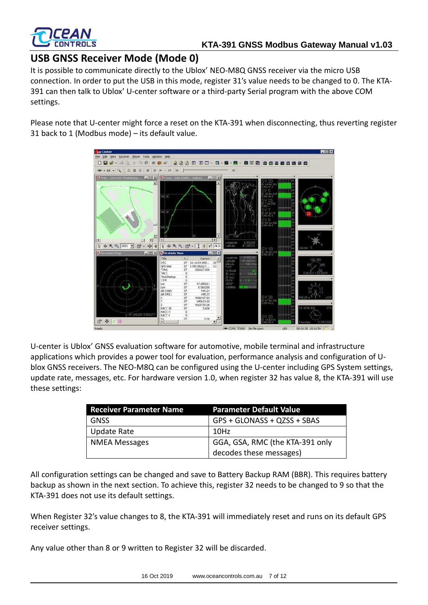

## **USB GNSS Receiver Mode (Mode 0)**

It is possible to communicate directly to the Ublox' NEO-M8Q GNSS receiver via the micro USB connection. In order to put the USB in this mode, register 31's value needs to be changed to 0. The KTA-391 can then talk to Ublox' U-center software or a third-party Serial program with the above COM settings.

Please note that U-center might force a reset on the KTA-391 when disconnecting, thus reverting register 31 back to 1 (Modbus mode) – its default value.



U-center is Ublox' GNSS evaluation software for automotive, mobile terminal and infrastructure applications which provides a power tool for evaluation, performance analysis and configuration of Ublox GNSS receivers. The NEO-M8Q can be configured using the U-center including GPS System settings, update rate, messages, etc. For hardware version 1.0, when register 32 has value 8, the KTA-391 will use these settings:

| <b>Receiver Parameter Name</b> | <b>Parameter Default Value</b>  |
|--------------------------------|---------------------------------|
| <b>GNSS</b>                    | GPS + GLONASS + QZSS + SBAS     |
| <b>Update Rate</b>             | 10Hz                            |
| <b>NMEA Messages</b>           | GGA, GSA, RMC (the KTA-391 only |
|                                | decodes these messages)         |

All configuration settings can be changed and save to Battery Backup RAM (BBR). This requires battery backup as shown in the next section. To achieve this, register 32 needs to be changed to 9 so that the KTA-391 does not use its default settings.

When Register 32's value changes to 8, the KTA-391 will immediately reset and runs on its default GPS receiver settings.

Any value other than 8 or 9 written to Register 32 will be discarded.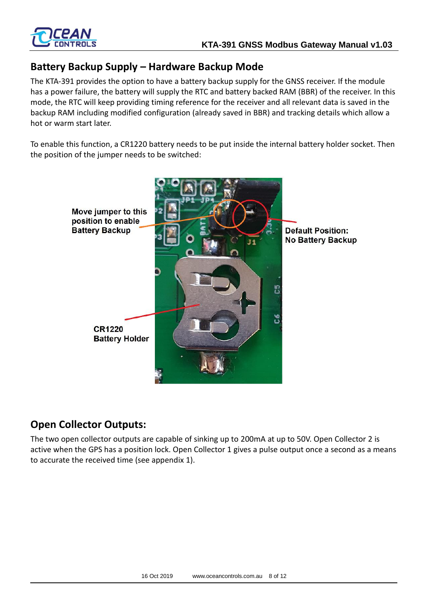

## **Battery Backup Supply – Hardware Backup Mode**

The KTA-391 provides the option to have a battery backup supply for the GNSS receiver. If the module has a power failure, the battery will supply the RTC and battery backed RAM (BBR) of the receiver. In this mode, the RTC will keep providing timing reference for the receiver and all relevant data is saved in the backup RAM including modified configuration (already saved in BBR) and tracking details which allow a hot or warm start later.

To enable this function, a CR1220 battery needs to be put inside the internal battery holder socket. Then the position of the jumper needs to be switched:



## **Open Collector Outputs:**

The two open collector outputs are capable of sinking up to 200mA at up to 50V. Open Collector 2 is active when the GPS has a position lock. Open Collector 1 gives a pulse output once a second as a means to accurate the received time (see appendix 1).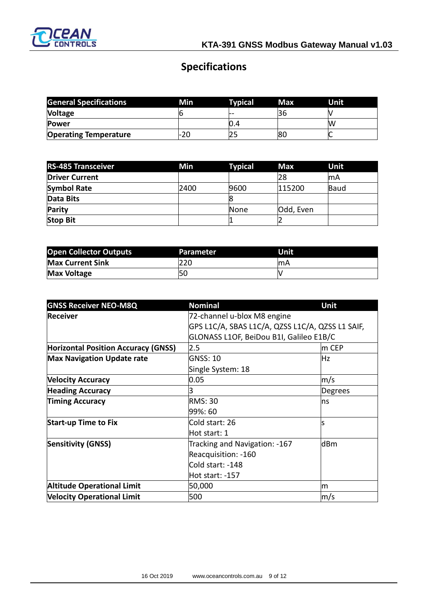

# **Specifications**

| <b>General Specifications</b> | Min  | Typical | Max.       | Unit |
|-------------------------------|------|---------|------------|------|
| <b>Voltage</b>                |      |         | <b>150</b> |      |
| <b>Power</b>                  |      | U.4     |            | 'W   |
| <b>Operating Temperature</b>  | l-ZU |         | 80         |      |

| <b>RS-485 Transceiver</b> | Min  | <b>Typical</b> | <b>Max</b> | Unit      |
|---------------------------|------|----------------|------------|-----------|
| <b>Driver Current</b>     |      |                | 28         | <b>mA</b> |
| <b>Symbol Rate</b>        | 2400 | 9600           | 115200     | Baud      |
| Data Bits                 |      |                |            |           |
| Parity                    |      | None           | Odd, Even  |           |
| <b>Stop Bit</b>           |      |                |            |           |

| <b>Open Collector Outputs</b> | Parameter | Unit |
|-------------------------------|-----------|------|
| <b>Max Current Sink</b>       | 220       | lmA  |
| <b>Max Voltage</b>            | <b>50</b> |      |

| <b>GNSS Receiver NEO-M8Q</b>               | <b>Nominal</b>                                   | Unit                        |  |
|--------------------------------------------|--------------------------------------------------|-----------------------------|--|
| <b>Receiver</b>                            | 72-channel u-blox M8 engine                      |                             |  |
|                                            | GPS L1C/A, SBAS L1C/A, QZSS L1C/A, QZSS L1 SAIF, |                             |  |
|                                            | GLONASS L1OF, BeiDou B1I, Galileo E1B/C          |                             |  |
| <b>Horizontal Position Accuracy (GNSS)</b> | 2.5                                              | $\mathsf{Im}\ \mathsf{CEP}$ |  |
| <b>Max Navigation Update rate</b>          | GNSS: 10                                         | Hz                          |  |
|                                            | Single System: 18                                |                             |  |
| <b>Velocity Accuracy</b>                   | 0.05                                             | m/s                         |  |
| <b>Heading Accuracy</b>                    | 3                                                | Degrees                     |  |
| <b>Timing Accuracy</b>                     | <b>RMS: 30</b>                                   | ns                          |  |
|                                            | 99%: 60                                          |                             |  |
| <b>Start-up Time to Fix</b>                | Cold start: 26                                   | ls                          |  |
|                                            | Hot start: 1                                     |                             |  |
| <b>Sensitivity (GNSS)</b>                  | Tracking and Navigation: -167                    | dBm                         |  |
|                                            | Reacquisition: -160                              |                             |  |
|                                            | Cold start: -148                                 |                             |  |
|                                            | Hot start: -157                                  |                             |  |
| <b>Altitude Operational Limit</b>          | 50,000                                           | m                           |  |
| <b>Velocity Operational Limit</b>          | 500                                              | m/s                         |  |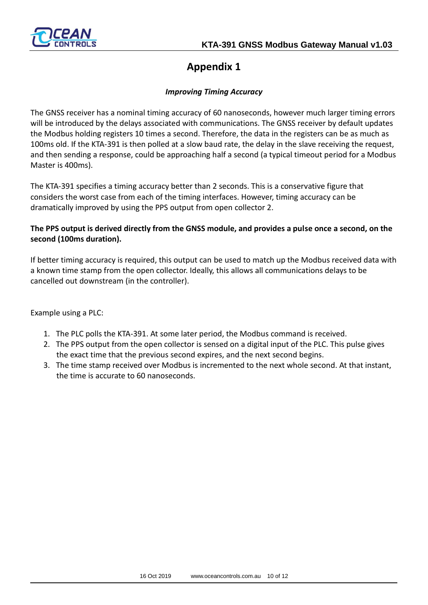

# **Appendix 1**

### *Improving Timing Accuracy*

The GNSS receiver has a nominal timing accuracy of 60 nanoseconds, however much larger timing errors will be introduced by the delays associated with communications. The GNSS receiver by default updates the Modbus holding registers 10 times a second. Therefore, the data in the registers can be as much as 100ms old. If the KTA-391 is then polled at a slow baud rate, the delay in the slave receiving the request, and then sending a response, could be approaching half a second (a typical timeout period for a Modbus Master is 400ms).

The KTA-391 specifies a timing accuracy better than 2 seconds. This is a conservative figure that considers the worst case from each of the timing interfaces. However, timing accuracy can be dramatically improved by using the PPS output from open collector 2.

### **The PPS output is derived directly from the GNSS module, and provides a pulse once a second, on the second (100ms duration).**

If better timing accuracy is required, this output can be used to match up the Modbus received data with a known time stamp from the open collector. Ideally, this allows all communications delays to be cancelled out downstream (in the controller).

Example using a PLC:

- 1. The PLC polls the KTA-391. At some later period, the Modbus command is received.
- 2. The PPS output from the open collector is sensed on a digital input of the PLC. This pulse gives the exact time that the previous second expires, and the next second begins.
- 3. The time stamp received over Modbus is incremented to the next whole second. At that instant, the time is accurate to 60 nanoseconds.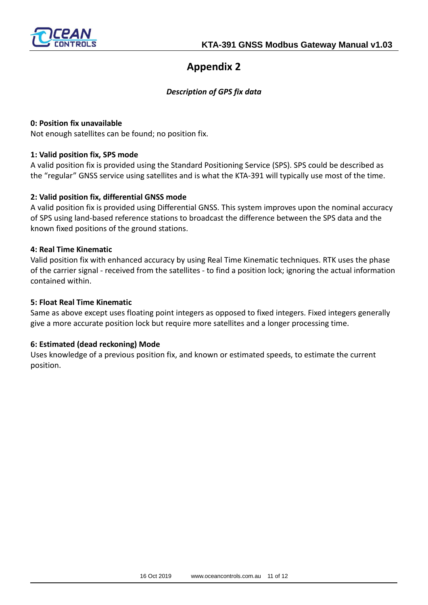

## **Appendix 2**

### *Description of GPS fix data*

#### **0: Position fix unavailable**

Not enough satellites can be found; no position fix.

### **1: Valid position fix, SPS mode**

A valid position fix is provided using the Standard Positioning Service (SPS). SPS could be described as the "regular" GNSS service using satellites and is what the KTA-391 will typically use most of the time.

### **2: Valid position fix, differential GNSS mode**

A valid position fix is provided using Differential GNSS. This system improves upon the nominal accuracy of SPS using land-based reference stations to broadcast the difference between the SPS data and the known fixed positions of the ground stations.

### **4: Real Time Kinematic**

Valid position fix with enhanced accuracy by using Real Time Kinematic techniques. RTK uses the phase of the carrier signal - received from the satellites - to find a position lock; ignoring the actual information contained within.

#### **5: Float Real Time Kinematic**

Same as above except uses floating point integers as opposed to fixed integers. Fixed integers generally give a more accurate position lock but require more satellites and a longer processing time.

#### **6: Estimated (dead reckoning) Mode**

Uses knowledge of a previous position fix, and known or estimated speeds, to estimate the current position.